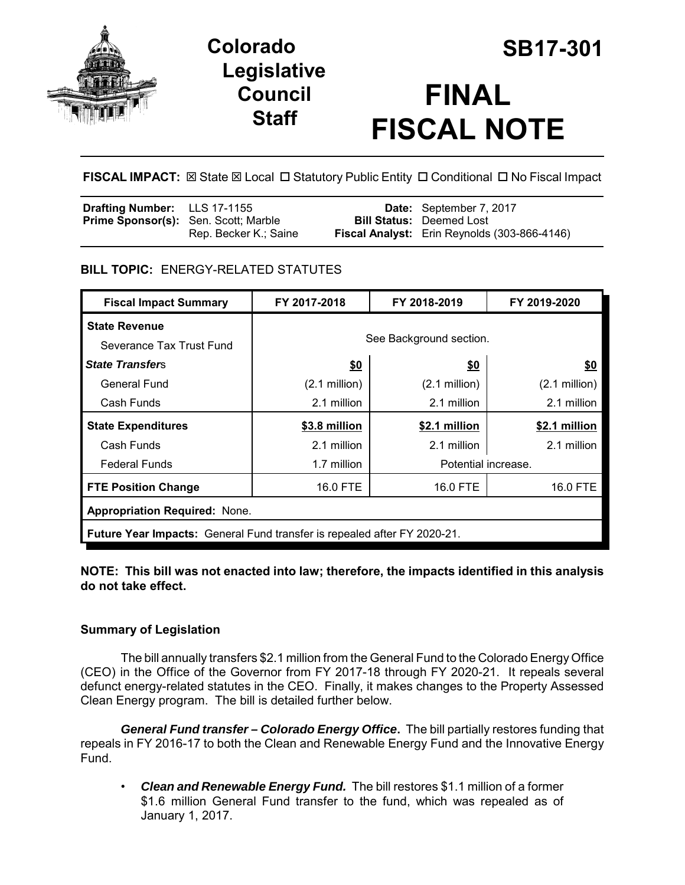



# **FINAL FISCAL NOTE**

**FISCAL IMPACT:** ⊠ State ⊠ Local □ Statutory Public Entity □ Conditional □ No Fiscal Impact

# **BILL TOPIC:** ENERGY-RELATED STATUTES

| <b>Fiscal Impact Summary</b>                                             | FY 2017-2018            | FY 2018-2019    | FY 2019-2020        |  |
|--------------------------------------------------------------------------|-------------------------|-----------------|---------------------|--|
| <b>State Revenue</b>                                                     |                         |                 |                     |  |
| Severance Tax Trust Fund                                                 | See Background section. |                 |                     |  |
| <b>State Transfers</b>                                                   | \$0                     | \$0             | \$0                 |  |
| General Fund                                                             | $(2.1 \text{ million})$ | $(2.1$ million) | $(2.1$ million)     |  |
| Cash Funds                                                               | 2.1 million             | 2.1 million     | 2.1 million         |  |
| <b>State Expenditures</b>                                                | \$3.8 million           | \$2.1 million   | \$2.1 million       |  |
| Cash Funds                                                               | 2.1 million             | 2.1 million     | 2.1 million         |  |
| <b>Federal Funds</b>                                                     | 1.7 million             |                 | Potential increase. |  |
| <b>FTE Position Change</b>                                               | 16.0 FTE                | 16.0 FTE        | 16.0 FTE            |  |
| <b>Appropriation Required: None.</b>                                     |                         |                 |                     |  |
| Future Year Impacts: General Fund transfer is repealed after FY 2020-21. |                         |                 |                     |  |

### **NOTE: This bill was not enacted into law; therefore, the impacts identified in this analysis do not take effect.**

## **Summary of Legislation**

The bill annually transfers \$2.1 million from the General Fund to the Colorado Energy Office (CEO) in the Office of the Governor from FY 2017-18 through FY 2020-21. It repeals several defunct energy-related statutes in the CEO. Finally, it makes changes to the Property Assessed Clean Energy program. The bill is detailed further below.

*General Fund transfer – Colorado Energy Office***.** The bill partially restores funding that repeals in FY 2016-17 to both the Clean and Renewable Energy Fund and the Innovative Energy Fund.

• *Clean and Renewable Energy Fund.*The bill restores \$1.1 million of a former \$1.6 million General Fund transfer to the fund, which was repealed as of January 1, 2017.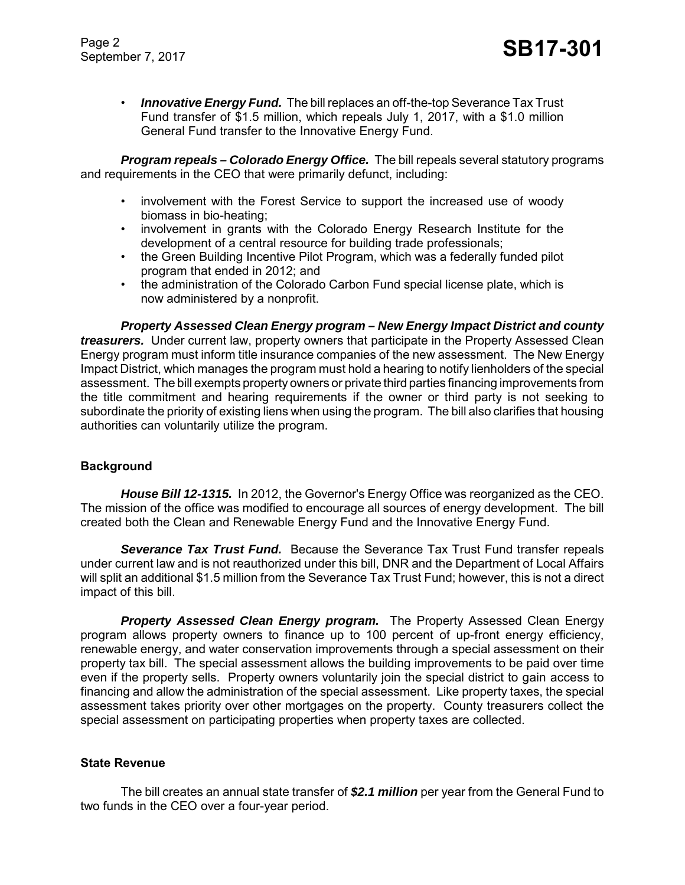Page 2 Page 2<br>September 7, 2017 **SB17-301** 

• *Innovative Energy Fund.* The bill replaces an off-the-top Severance Tax Trust Fund transfer of \$1.5 million, which repeals July 1, 2017, with a \$1.0 million General Fund transfer to the Innovative Energy Fund.

*Program repeals – Colorado Energy Office.* The bill repeals several statutory programs and requirements in the CEO that were primarily defunct, including:

- involvement with the Forest Service to support the increased use of woody biomass in bio-heating;
- involvement in grants with the Colorado Energy Research Institute for the development of a central resource for building trade professionals;
- the Green Building Incentive Pilot Program, which was a federally funded pilot program that ended in 2012; and
- the administration of the Colorado Carbon Fund special license plate, which is now administered by a nonprofit.

*Property Assessed Clean Energy program – New Energy Impact District and county treasurers.* Under current law, property owners that participate in the Property Assessed Clean Energy program must inform title insurance companies of the new assessment. The New Energy Impact District, which manages the program must hold a hearing to notify lienholders of the special assessment. The bill exempts property owners or private third parties financing improvements from the title commitment and hearing requirements if the owner or third party is not seeking to subordinate the priority of existing liens when using the program. The bill also clarifies that housing authorities can voluntarily utilize the program.

#### **Background**

*House Bill 12-1315.* In 2012, the Governor's Energy Office was reorganized as the CEO. The mission of the office was modified to encourage all sources of energy development. The bill created both the Clean and Renewable Energy Fund and the Innovative Energy Fund.

*Severance Tax Trust Fund.* Because the Severance Tax Trust Fund transfer repeals under current law and is not reauthorized under this bill, DNR and the Department of Local Affairs will split an additional \$1.5 million from the Severance Tax Trust Fund; however, this is not a direct impact of this bill.

*Property Assessed Clean Energy program.* The Property Assessed Clean Energy program allows property owners to finance up to 100 percent of up-front energy efficiency, renewable energy, and water conservation improvements through a special assessment on their property tax bill. The special assessment allows the building improvements to be paid over time even if the property sells. Property owners voluntarily join the special district to gain access to financing and allow the administration of the special assessment. Like property taxes, the special assessment takes priority over other mortgages on the property. County treasurers collect the special assessment on participating properties when property taxes are collected.

#### **State Revenue**

The bill creates an annual state transfer of *\$2.1 million* per year from the General Fund to two funds in the CEO over a four-year period.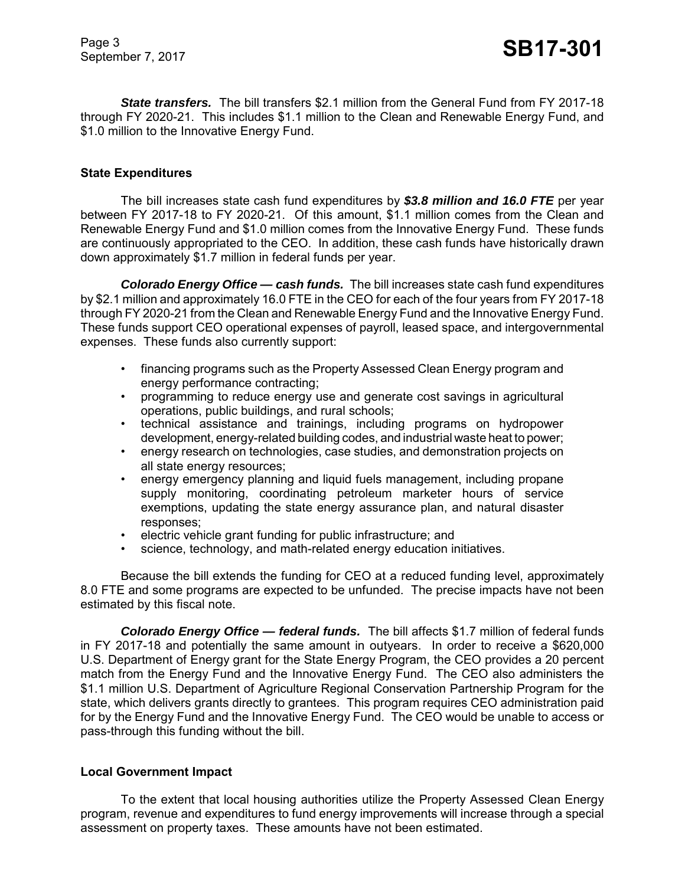*State transfers.* The bill transfers \$2.1 million from the General Fund from FY 2017-18 through FY 2020-21. This includes \$1.1 million to the Clean and Renewable Energy Fund, and \$1.0 million to the Innovative Energy Fund.

#### **State Expenditures**

The bill increases state cash fund expenditures by *\$3.8 million and 16.0 FTE* per year between FY 2017-18 to FY 2020-21. Of this amount, \$1.1 million comes from the Clean and Renewable Energy Fund and \$1.0 million comes from the Innovative Energy Fund. These funds are continuously appropriated to the CEO. In addition, these cash funds have historically drawn down approximately \$1.7 million in federal funds per year.

*Colorado Energy Office — cash funds.* The bill increases state cash fund expenditures by \$2.1 million and approximately 16.0 FTE in the CEO for each of the four years from FY 2017-18 through FY 2020-21 from the Clean and Renewable Energy Fund and the Innovative Energy Fund. These funds support CEO operational expenses of payroll, leased space, and intergovernmental expenses. These funds also currently support:

- financing programs such as the Property Assessed Clean Energy program and energy performance contracting;
- programming to reduce energy use and generate cost savings in agricultural operations, public buildings, and rural schools;
- technical assistance and trainings, including programs on hydropower development, energy-related building codes, and industrial waste heat to power;
- energy research on technologies, case studies, and demonstration projects on all state energy resources;
- energy emergency planning and liquid fuels management, including propane supply monitoring, coordinating petroleum marketer hours of service exemptions, updating the state energy assurance plan, and natural disaster responses;
- electric vehicle grant funding for public infrastructure; and
- science, technology, and math-related energy education initiatives.

Because the bill extends the funding for CEO at a reduced funding level, approximately 8.0 FTE and some programs are expected to be unfunded. The precise impacts have not been estimated by this fiscal note.

*Colorado Energy Office — federal funds.* The bill affects \$1.7 million of federal funds in FY 2017-18 and potentially the same amount in outyears. In order to receive a \$620,000 U.S. Department of Energy grant for the State Energy Program, the CEO provides a 20 percent match from the Energy Fund and the Innovative Energy Fund. The CEO also administers the \$1.1 million U.S. Department of Agriculture Regional Conservation Partnership Program for the state, which delivers grants directly to grantees. This program requires CEO administration paid for by the Energy Fund and the Innovative Energy Fund. The CEO would be unable to access or pass-through this funding without the bill.

#### **Local Government Impact**

To the extent that local housing authorities utilize the Property Assessed Clean Energy program, revenue and expenditures to fund energy improvements will increase through a special assessment on property taxes. These amounts have not been estimated.